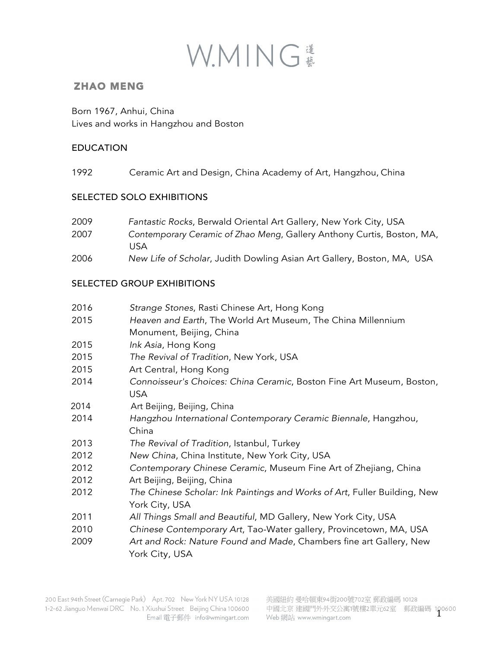

## ZHAO MENG

Born 1967, Anhui, China Lives and works in Hangzhou and Boston

### EDUCATION

1992 Ceramic Art and Design, China Academy of Art, Hangzhou, China

### SELECTED SOLO EXHIBITIONS

| 2009 | Fantastic Rocks, Berwald Oriental Art Gallery, New York City, USA      |
|------|------------------------------------------------------------------------|
| 2007 | Contemporary Ceramic of Zhao Meng, Gallery Anthony Curtis, Boston, MA, |
|      | USA                                                                    |
| 2006 | New Life of Scholar, Judith Dowling Asian Art Gallery, Boston, MA, USA |

### SELECTED GROUP EXHIBITIONS

| 2016 | Strange Stones, Rasti Chinese Art, Hong Kong                              |
|------|---------------------------------------------------------------------------|
| 2015 | Heaven and Earth, The World Art Museum, The China Millennium              |
|      | Monument, Beijing, China                                                  |
| 2015 | Ink Asia, Hong Kong                                                       |
| 2015 | The Revival of Tradition, New York, USA                                   |
| 2015 | Art Central, Hong Kong                                                    |
| 2014 | Connoisseur's Choices: China Ceramic, Boston Fine Art Museum, Boston,     |
|      | <b>USA</b>                                                                |
| 2014 | Art Beijing, Beijing, China                                               |
| 2014 | Hangzhou International Contemporary Ceramic Biennale, Hangzhou,           |
|      | China                                                                     |
| 2013 | The Revival of Tradition, Istanbul, Turkey                                |
| 2012 | New China, China Institute, New York City, USA                            |
| 2012 | Contemporary Chinese Ceramic, Museum Fine Art of Zhejiang, China          |
| 2012 | Art Beijing, Beijing, China                                               |
| 2012 | The Chinese Scholar: Ink Paintings and Works of Art, Fuller Building, New |
|      | York City, USA                                                            |
| 2011 | All Things Small and Beautiful, MD Gallery, New York City, USA            |
| 2010 | Chinese Contemporary Art, Tao-Water gallery, Provincetown, MA, USA        |
| 2009 | Art and Rock: Nature Found and Made, Chambers fine art Gallery, New       |
|      | York City, USA                                                            |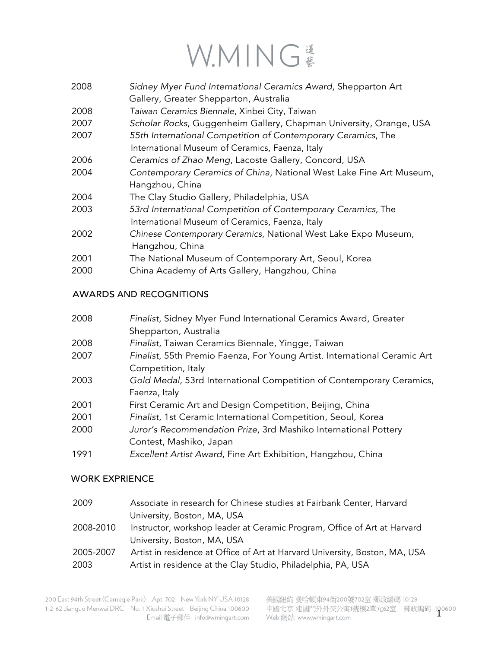# WMING

- 2008 *Sidney Myer Fund International Ceramics Award*, Shepparton Art
- Gallery, Greater Shepparton, Australia
- 2008 *Taiwan Ceramics Biennale*, Xinbei City, Taiwan
- 2007 *Scholar Rocks*, Guggenheim Gallery, Chapman University, Orange, USA
- 2007 *55th International Competition of Contemporary Ceramics*, The International Museum of Ceramics, Faenza, Italy
- 2006 *Ceramics of Zhao Meng*, Lacoste Gallery, Concord, USA
- 2004 *Contemporary Ceramics of China*, National West Lake Fine Art Museum, Hangzhou, China
- 2004 The Clay Studio Gallery, Philadelphia, USA
- 2003 *53rd International Competition of Contemporary Ceramics*, The International Museum of Ceramics, Faenza, Italy
- 2002 *Chinese Contemporary Ceramics*, National West Lake Expo Museum, Hangzhou, China
- 2001 The National Museum of Contemporary Art, Seoul, Korea
- 2000 China Academy of Arts Gallery, Hangzhou, China

### AWARDS AND RECOGNITIONS

| 2008 | Finalist, Sidney Myer Fund International Ceramics Award, Greater          |
|------|---------------------------------------------------------------------------|
|      | Shepparton, Australia                                                     |
| 2008 | Finalist, Taiwan Ceramics Biennale, Yingge, Taiwan                        |
| 2007 | Finalist, 55th Premio Faenza, For Young Artist. International Ceramic Art |
|      | Competition, Italy                                                        |
| 2003 | Gold Medal, 53rd International Competition of Contemporary Ceramics,      |
|      | Faenza, Italy                                                             |
| 2001 | First Ceramic Art and Design Competition, Beijing, China                  |
| 2001 | Finalist, 1st Ceramic International Competition, Seoul, Korea             |
| 2000 | Juror's Recommendation Prize, 3rd Mashiko International Pottery           |
|      | Contest, Mashiko, Japan                                                   |
| 1991 | Excellent Artist Award, Fine Art Exhibition, Hangzhou, China              |

#### WORK EXPRIENCE

| 2009      | Associate in research for Chinese studies at Fairbank Center, Harvard       |
|-----------|-----------------------------------------------------------------------------|
|           | University, Boston, MA, USA                                                 |
| 2008-2010 | Instructor, workshop leader at Ceramic Program, Office of Art at Harvard    |
|           | University, Boston, MA, USA                                                 |
| 2005-2007 | Artist in residence at Office of Art at Harvard University, Boston, MA, USA |
| 2003      | Artist in residence at the Clay Studio, Philadelphia, PA, USA               |